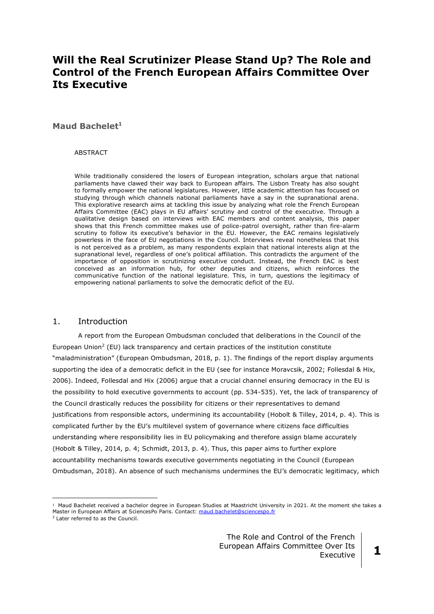# **Will the Real Scrutinizer Please Stand Up? The Role and Control of the French European Affairs Committee Over Its Executive**

# **Maud Bachelet<sup>1</sup>**

#### **ABSTRACT**

While traditionally considered the losers of European integration, scholars argue that national parliaments have clawed their way back to European affairs. The Lisbon Treaty has also sought to formally empower the national legislatures. However, little academic attention has focused on studying through which channels national parliaments have a say in the supranational arena. This explorative research aims at tackling this issue by analyzing what role the French European Affairs Committee (EAC) plays in EU affairs' scrutiny and control of the executive. Through a qualitative design based on interviews with EAC members and content analysis, this paper shows that this French committee makes use of police-patrol oversight, rather than fire-alarm scrutiny to follow its executive's behavior in the EU. However, the EAC remains legislatively powerless in the face of EU negotiations in the Council. Interviews reveal nonetheless that this is not perceived as a problem, as many respondents explain that national interests align at the supranational level, regardless of one's political affiliation. This contradicts the argument of the importance of opposition in scrutinizing executive conduct. Instead, the French EAC is best conceived as an information hub, for other deputies and citizens, which reinforces the communicative function of the national legislature. This, in turn, questions the legitimacy of empowering national parliaments to solve the democratic deficit of the EU.

#### 1. Introduction

A report from the European Ombudsman concluded that deliberations in the Council of the European Union<sup>2</sup> (EU) lack transparency and certain practices of the institution constitute "maladministration" (European Ombudsman, 2018, p. 1). The findings of the report display arguments supporting the idea of a democratic deficit in the EU (see for instance Moravcsik, 2002; Follesdal & Hix, 2006). Indeed, Follesdal and Hix (2006) argue that a crucial channel ensuring democracy in the EU is the possibility to hold executive governments to account (pp. 534-535). Yet, the lack of transparency of the Council drastically reduces the possibility for citizens or their representatives to demand justifications from responsible actors, undermining its accountability (Hobolt & Tilley, 2014, p. 4). This is complicated further by the EU's multilevel system of governance where citizens face difficulties understanding where responsibility lies in EU policymaking and therefore assign blame accurately (Hobolt & Tilley, 2014, p. 4; Schmidt, 2013, p. 4). Thus, this paper aims to further explore accountability mechanisms towards executive governments negotiating in the Council (European Ombudsman, 2018). An absence of such mechanisms undermines the EU's democratic legitimacy, which

<u>.</u>

<sup>1</sup> Maud Bachelet received a bachelor degree in European Studies at Maastricht University in 2021. At the moment she takes a Master in European Affairs at SciencesPo Paris. Contact: [maud.bachelet@sciencespo.fr](mailto:maud.bachelet@sciencespo.fr)

<sup>2</sup> Later referred to as the Council.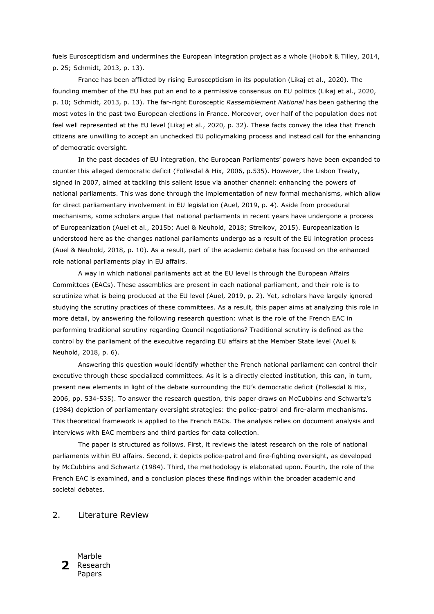fuels Euroscepticism and undermines the European integration project as a whole (Hobolt & Tilley, 2014, p. 25; Schmidt, 2013, p. 13).

France has been afflicted by rising Euroscepticism in its population (Likaj et al., 2020). The founding member of the EU has put an end to a permissive consensus on EU politics (Likaj et al., 2020, p. 10; Schmidt, 2013, p. 13). The far-right Eurosceptic *Rassemblement National* has been gathering the most votes in the past two European elections in France. Moreover, over half of the population does not feel well represented at the EU level (Likaj et al., 2020, p. 32). These facts convey the idea that French citizens are unwilling to accept an unchecked EU policymaking process and instead call for the enhancing of democratic oversight.

In the past decades of EU integration, the European Parliaments' powers have been expanded to counter this alleged democratic deficit (Follesdal & Hix, 2006, p.535). However, the Lisbon Treaty, signed in 2007, aimed at tackling this salient issue via another channel: enhancing the powers of national parliaments. This was done through the implementation of new formal mechanisms, which allow for direct parliamentary involvement in EU legislation (Auel, 2019, p. 4). Aside from procedural mechanisms, some scholars argue that national parliaments in recent years have undergone a process of Europeanization (Auel et al., 2015b; Auel & Neuhold, 2018; Strelkov, 2015). Europeanization is understood here as the changes national parliaments undergo as a result of the EU integration process (Auel & Neuhold, 2018, p. 10). As a result, part of the academic debate has focused on the enhanced role national parliaments play in EU affairs.

A way in which national parliaments act at the EU level is through the European Affairs Committees (EACs). These assemblies are present in each national parliament, and their role is to scrutinize what is being produced at the EU level (Auel, 2019, p. 2). Yet, scholars have largely ignored studying the scrutiny practices of these committees. As a result, this paper aims at analyzing this role in more detail, by answering the following research question: what is the role of the French EAC in performing traditional scrutiny regarding Council negotiations? Traditional scrutiny is defined as the control by the parliament of the executive regarding EU affairs at the Member State level (Auel & Neuhold, 2018, p. 6).

Answering this question would identify whether the French national parliament can control their executive through these specialized committees. As it is a directly elected institution, this can, in turn, present new elements in light of the debate surrounding the EU's democratic deficit (Follesdal & Hix, 2006, pp. 534-535). To answer the research question, this paper draws on McCubbins and Schwartz's (1984) depiction of parliamentary oversight strategies: the police-patrol and fire-alarm mechanisms. This theoretical framework is applied to the French EACs. The analysis relies on document analysis and interviews with EAC members and third parties for data collection.

The paper is structured as follows. First, it reviews the latest research on the role of national parliaments within EU affairs. Second, it depicts police-patrol and fire-fighting oversight, as developed by McCubbins and Schwartz (1984). Third, the methodology is elaborated upon. Fourth, the role of the French EAC is examined, and a conclusion places these findings within the broader academic and societal debates.

# 2. Literature Review

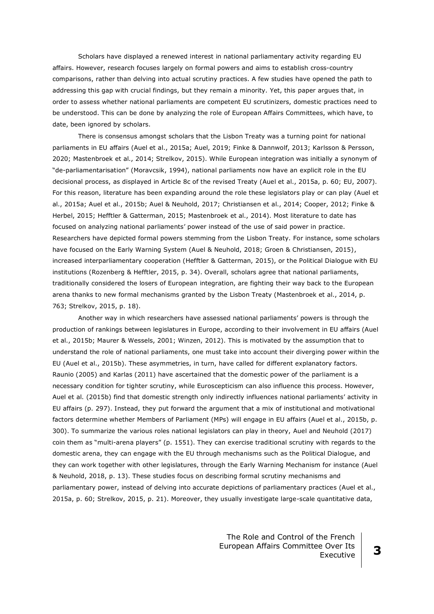Scholars have displayed a renewed interest in national parliamentary activity regarding EU affairs. However, research focuses largely on formal powers and aims to establish cross-country comparisons, rather than delving into actual scrutiny practices. A few studies have opened the path to addressing this gap with crucial findings, but they remain a minority. Yet, this paper argues that, in order to assess whether national parliaments are competent EU scrutinizers, domestic practices need to be understood. This can be done by analyzing the role of European Affairs Committees, which have, to date, been ignored by scholars.

There is consensus amongst scholars that the Lisbon Treaty was a turning point for national parliaments in EU affairs (Auel et al., 2015a; Auel, 2019; Finke & Dannwolf, 2013; Karlsson & Persson, 2020; Mastenbroek et al., 2014; Strelkov, 2015). While European integration was initially a synonym of "de-parliamentarisation" (Moravcsik, 1994), national parliaments now have an explicit role in the EU decisional process, as displayed in Article 8c of the revised Treaty (Auel et al., 2015a, p. 60; EU, 2007). For this reason, literature has been expanding around the role these legislators play or can play (Auel et al., 2015a; Auel et al., 2015b; Auel & Neuhold, 2017; Christiansen et al., 2014; Cooper, 2012; Finke & Herbel, 2015; Hefftler & Gatterman, 2015; Mastenbroek et al., 2014). Most literature to date has focused on analyzing national parliaments' power instead of the use of said power in practice. Researchers have depicted formal powers stemming from the Lisbon Treaty. For instance, some scholars have focused on the Early Warning System (Auel & Neuhold, 2018; Groen & Christiansen, 2015), increased interparliamentary cooperation (Hefftler & Gatterman, 2015), or the Political Dialogue with EU institutions (Rozenberg & Hefftler, 2015, p. 34). Overall, scholars agree that national parliaments, traditionally considered the losers of European integration, are fighting their way back to the European arena thanks to new formal mechanisms granted by the Lisbon Treaty (Mastenbroek et al., 2014, p. 763; Strelkov, 2015, p. 18).

Another way in which researchers have assessed national parliaments' powers is through the production of rankings between legislatures in Europe, according to their involvement in EU affairs (Auel et al., 2015b; Maurer & Wessels, 2001; Winzen, 2012). This is motivated by the assumption that to understand the role of national parliaments, one must take into account their diverging power within the EU (Auel et al., 2015b). These asymmetries, in turn, have called for different explanatory factors. Raunio (2005) and Karlas (2011) have ascertained that the domestic power of the parliament is a necessary condition for tighter scrutiny, while Euroscepticism can also influence this process. However, Auel et al. (2015b) find that domestic strength only indirectly influences national parliaments' activity in EU affairs (p. 297). Instead, they put forward the argument that a mix of institutional and motivational factors determine whether Members of Parliament (MPs) will engage in EU affairs (Auel et al., 2015b, p. 300). To summarize the various roles national legislators can play in theory, Auel and Neuhold (2017) coin them as "multi-arena players" (p. 1551). They can exercise traditional scrutiny with regards to the domestic arena, they can engage with the EU through mechanisms such as the Political Dialogue, and they can work together with other legislatures, through the Early Warning Mechanism for instance (Auel & Neuhold, 2018, p. 13). These studies focus on describing formal scrutiny mechanisms and parliamentary power, instead of delving into accurate depictions of parliamentary practices (Auel et al., 2015a, p. 60; Strelkov, 2015, p. 21). Moreover, they usually investigate large-scale quantitative data,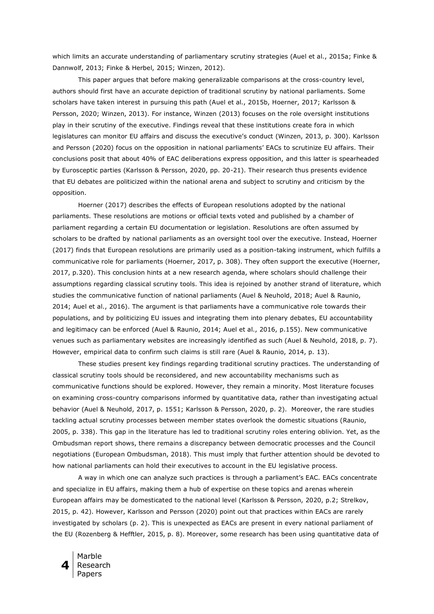which limits an accurate understanding of parliamentary scrutiny strategies (Auel et al., 2015a; Finke & Dannwolf, 2013; Finke & Herbel, 2015; Winzen, 2012).

This paper argues that before making generalizable comparisons at the cross-country level, authors should first have an accurate depiction of traditional scrutiny by national parliaments. Some scholars have taken interest in pursuing this path (Auel et al., 2015b, Hoerner, 2017; Karlsson & Persson, 2020; Winzen, 2013). For instance, Winzen (2013) focuses on the role oversight institutions play in their scrutiny of the executive. Findings reveal that these institutions create fora in which legislatures can monitor EU affairs and discuss the executive's conduct (Winzen, 2013, p. 300). Karlsson and Persson (2020) focus on the opposition in national parliaments' EACs to scrutinize EU affairs. Their conclusions posit that about 40% of EAC deliberations express opposition, and this latter is spearheaded by Eurosceptic parties (Karlsson & Persson, 2020, pp. 20-21). Their research thus presents evidence that EU debates are politicized within the national arena and subject to scrutiny and criticism by the opposition.

Hoerner (2017) describes the effects of European resolutions adopted by the national parliaments. These resolutions are motions or official texts voted and published by a chamber of parliament regarding a certain EU documentation or legislation. Resolutions are often assumed by scholars to be drafted by national parliaments as an oversight tool over the executive. Instead, Hoerner (2017) finds that European resolutions are primarily used as a position-taking instrument, which fulfills a communicative role for parliaments (Hoerner, 2017, p. 308). They often support the executive (Hoerner, 2017, p.320). This conclusion hints at a new research agenda, where scholars should challenge their assumptions regarding classical scrutiny tools. This idea is rejoined by another strand of literature, which studies the communicative function of national parliaments (Auel & Neuhold, 2018; Auel & Raunio, 2014; Auel et al., 2016). The argument is that parliaments have a communicative role towards their populations, and by politicizing EU issues and integrating them into plenary debates, EU accountability and legitimacy can be enforced (Auel & Raunio, 2014; Auel et al., 2016, p.155). New communicative venues such as parliamentary websites are increasingly identified as such (Auel & Neuhold, 2018, p. 7). However, empirical data to confirm such claims is still rare (Auel & Raunio, 2014, p. 13).

These studies present key findings regarding traditional scrutiny practices. The understanding of classical scrutiny tools should be reconsidered, and new accountability mechanisms such as communicative functions should be explored. However, they remain a minority. Most literature focuses on examining cross-country comparisons informed by quantitative data, rather than investigating actual behavior (Auel & Neuhold, 2017, p. 1551; Karlsson & Persson, 2020, p. 2). Moreover, the rare studies tackling actual scrutiny processes between member states overlook the domestic situations (Raunio, 2005, p. 338). This gap in the literature has led to traditional scrutiny roles entering oblivion. Yet, as the Ombudsman report shows, there remains a discrepancy between democratic processes and the Council negotiations (European Ombudsman, 2018). This must imply that further attention should be devoted to how national parliaments can hold their executives to account in the EU legislative process.

A way in which one can analyze such practices is through a parliament's EAC. EACs concentrate and specialize in EU affairs, making them a hub of expertise on these topics and arenas wherein European affairs may be domesticated to the national level (Karlsson & Persson, 2020, p.2; Strelkov, 2015, p. 42). However, Karlsson and Persson (2020) point out that practices within EACs are rarely investigated by scholars (p. 2). This is unexpected as EACs are present in every national parliament of the EU (Rozenberg & Hefftler, 2015, p. 8). Moreover, some research has been using quantitative data of

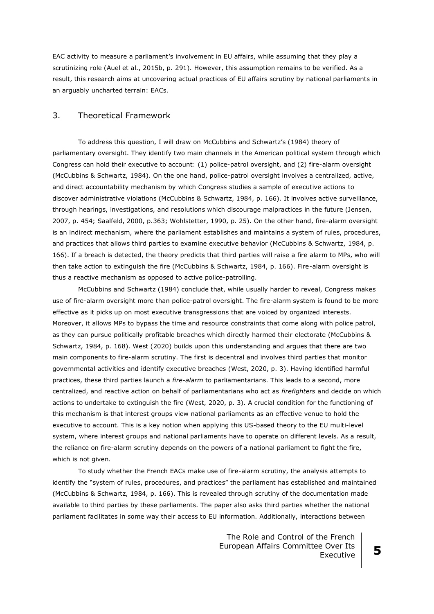EAC activity to measure a parliament's involvement in EU affairs, while assuming that they play a scrutinizing role (Auel et al., 2015b, p. 291). However, this assumption remains to be verified. As a result, this research aims at uncovering actual practices of EU affairs scrutiny by national parliaments in an arguably uncharted terrain: EACs.

## 3. Theoretical Framework

To address this question, I will draw on McCubbins and Schwartz's (1984) theory of parliamentary oversight. They identify two main channels in the American political system through which Congress can hold their executive to account: (1) police-patrol oversight, and (2) fire-alarm oversight (McCubbins & Schwartz, 1984). On the one hand, police-patrol oversight involves a centralized, active, and direct accountability mechanism by which Congress studies a sample of executive actions to discover administrative violations (McCubbins & Schwartz, 1984, p. 166). It involves active surveillance, through hearings, investigations, and resolutions which discourage malpractices in the future (Jensen, 2007, p. 454; Saalfeld, 2000, p.363; Wohlstetter, 1990, p. 25). On the other hand, fire-alarm oversight is an indirect mechanism, where the parliament establishes and maintains a system of rules, procedures, and practices that allows third parties to examine executive behavior (McCubbins & Schwartz, 1984, p. 166). If a breach is detected, the theory predicts that third parties will raise a fire alarm to MPs, who will then take action to extinguish the fire (McCubbins & Schwartz, 1984, p. 166). Fire-alarm oversight is thus a reactive mechanism as opposed to active police-patrolling.

McCubbins and Schwartz (1984) conclude that, while usually harder to reveal, Congress makes use of fire-alarm oversight more than police-patrol oversight. The fire-alarm system is found to be more effective as it picks up on most executive transgressions that are voiced by organized interests. Moreover, it allows MPs to bypass the time and resource constraints that come along with police patrol, as they can pursue politically profitable breaches which directly harmed their electorate (McCubbins & Schwartz, 1984, p. 168). West (2020) builds upon this understanding and argues that there are two main components to fire-alarm scrutiny. The first is decentral and involves third parties that monitor governmental activities and identify executive breaches (West, 2020, p. 3). Having identified harmful practices, these third parties launch a *fire-alarm* to parliamentarians. This leads to a second, more centralized, and reactive action on behalf of parliamentarians who act as *firefighters* and decide on which actions to undertake to extinguish the fire (West, 2020, p. 3). A crucial condition for the functioning of this mechanism is that interest groups view national parliaments as an effective venue to hold the executive to account. This is a key notion when applying this US-based theory to the EU multi-level system, where interest groups and national parliaments have to operate on different levels. As a result, the reliance on fire-alarm scrutiny depends on the powers of a national parliament to fight the fire, which is not given.

To study whether the French EACs make use of fire-alarm scrutiny, the analysis attempts to identify the "system of rules, procedures, and practices" the parliament has established and maintained (McCubbins & Schwartz, 1984, p. 166). This is revealed through scrutiny of the documentation made available to third parties by these parliaments. The paper also asks third parties whether the national parliament facilitates in some way their access to EU information. Additionally, interactions between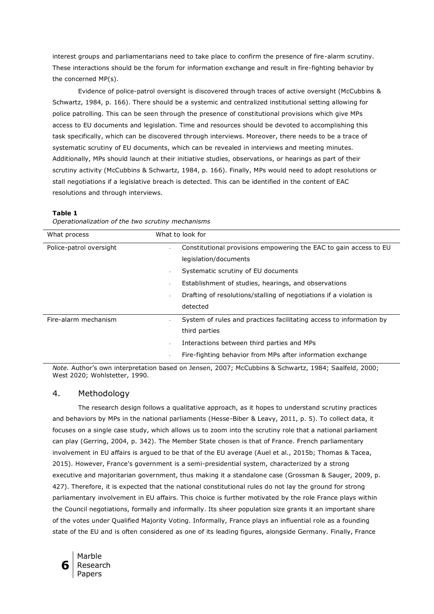interest groups and parliamentarians need to take place to confirm the presence of fire-alarm scrutiny. These interactions should be the forum for information exchange and result in fire-fighting behavior by the concerned MP(s).

Evidence of police-patrol oversight is discovered through traces of active oversight (McCubbins & Schwartz, 1984, p. 166). There should be a systemic and centralized institutional setting allowing for police patrolling. This can be seen through the presence of constitutional provisions which give MPs access to EU documents and legislation. Time and resources should be devoted to accomplishing this task specifically, which can be discovered through interviews. Moreover, there needs to be a trace of systematic scrutiny of EU documents, which can be revealed in interviews and meeting minutes. Additionally, MPs should launch at their initiative studies, observations, or hearings as part of their scrutiny activity (McCubbins & Schwartz, 1984, p. 166). Finally, MPs would need to adopt resolutions or stall negotiations if a legislative breach is detected. This can be identified in the content of EAC resolutions and through interviews.

#### **Table 1**

| Operationalization of the two scrutiny mechanisms |  |  |
|---------------------------------------------------|--|--|

| What process            | What to look for                                                                                                                                                                                                                                                                                   |
|-------------------------|----------------------------------------------------------------------------------------------------------------------------------------------------------------------------------------------------------------------------------------------------------------------------------------------------|
| Police-patrol oversight | Constitutional provisions empowering the EAC to gain access to EU<br>÷,<br>legislation/documents<br>Systematic scrutiny of EU documents<br>$\equiv$<br>Establishment of studies, hearings, and observations<br>Drafting of resolutions/stalling of negotiations if a violation is<br>٠<br>detected |
| Fire-alarm mechanism    | System of rules and practices facilitating access to information by<br>$\equiv$<br>third parties<br>Interactions between third parties and MPs<br>٠<br>Fire-fighting behavior from MPs after information exchange<br>$\overline{\phantom{a}}$                                                      |

*Note.* Author's own interpretation based on Jensen, 2007; McCubbins & Schwartz, 1984; Saalfeld, 2000; West 2020; Wohlstetter, 1990.

## 4. Methodology

The research design follows a qualitative approach, as it hopes to understand scrutiny practices and behaviors by MPs in the national parliaments (Hesse-Biber & Leavy, 2011, p. 5). To collect data, it focuses on a single case study, which allows us to zoom into the scrutiny role that a national parliament can play (Gerring, 2004, p. 342). The Member State chosen is that of France. French parliamentary involvement in EU affairs is argued to be that of the EU average (Auel et al., 2015b; Thomas & Tacea, 2015). However, France's government is a semi-presidential system, characterized by a strong executive and majoritarian government, thus making it a standalone case (Grossman & Sauger, 2009, p. 427). Therefore, it is expected that the national constitutional rules do not lay the ground for strong parliamentary involvement in EU affairs. This choice is further motivated by the role France plays within the Council negotiations, formally and informally. Its sheer population size grants it an important share of the votes under Qualified Majority Voting. Informally, France plays an influential role as a founding state of the EU and is often considered as one of its leading figures, alongside Germany. Finally, France

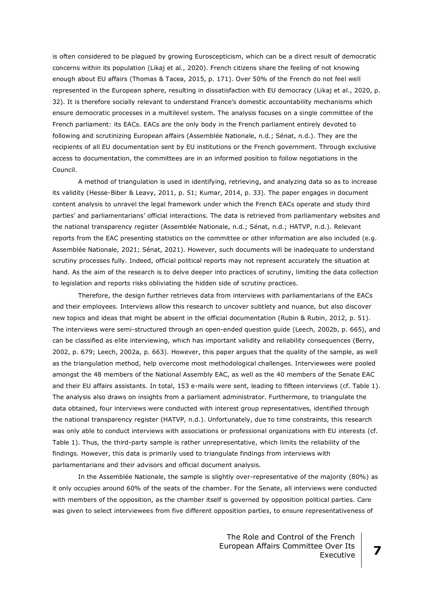is often considered to be plagued by growing Euroscepticism, which can be a direct result of democratic concerns within its population (Likaj et al., 2020). French citizens share the feeling of not knowing enough about EU affairs (Thomas & Tacea, 2015, p. 171). Over 50% of the French do not feel well represented in the European sphere, resulting in dissatisfaction with EU democracy (Likaj et al., 2020, p. 32). It is therefore socially relevant to understand France's domestic accountability mechanisms which ensure democratic processes in a multilevel system. The analysis focuses on a single committee of the French parliament: its EACs. EACs are the only body in the French parliament entirely devoted to following and scrutinizing European affairs (Assemblée Nationale, n.d.; Sénat, n.d.). They are the recipients of all EU documentation sent by EU institutions or the French government. Through exclusive access to documentation, the committees are in an informed position to follow negotiations in the Council.

A method of triangulation is used in identifying, retrieving, and analyzing data so as to increase its validity (Hesse-Biber & Leavy, 2011, p. 51; Kumar, 2014, p. 33). The paper engages in document content analysis to unravel the legal framework under which the French EACs operate and study third parties' and parliamentarians' official interactions. The data is retrieved from parliamentary websites and the national transparency register (Assemblée Nationale, n.d.; Sénat, n.d.; HATVP, n.d.). Relevant reports from the EAC presenting statistics on the committee or other information are also included (e.g. Assemblée Nationale, 2021; Sénat, 2021). However, such documents will be inadequate to understand scrutiny processes fully. Indeed, official political reports may not represent accurately the situation at hand. As the aim of the research is to delve deeper into practices of scrutiny, limiting the data collection to legislation and reports risks obliviating the hidden side of scrutiny practices.

Therefore, the design further retrieves data from interviews with parliamentarians of the EACs and their employees. Interviews allow this research to uncover subtlety and nuance, but also discover new topics and ideas that might be absent in the official documentation (Rubin & Rubin, 2012, p. 51). The interviews were semi-structured through an open-ended question guide (Leech, 2002b, p. 665), and can be classified as elite interviewing, which has important validity and reliability consequences (Berry, 2002, p. 679; Leech, 2002a, p. 663). However, this paper argues that the quality of the sample, as well as the triangulation method, help overcome most methodological challenges. Interviewees were pooled amongst the 48 members of the National Assembly EAC, as well as the 40 members of the Senate EAC and their EU affairs assistants. In total, 153 e-mails were sent, leading to fifteen interviews (cf. Table 1). The analysis also draws on insights from a parliament administrator. Furthermore, to triangulate the data obtained, four interviews were conducted with interest group representatives, identified through the national transparency register (HATVP, n.d.). Unfortunately, due to time constraints, this research was only able to conduct interviews with associations or professional organizations with EU interests (cf. Table 1). Thus, the third-party sample is rather unrepresentative, which limits the reliability of the findings. However, this data is primarily used to triangulate findings from interviews with parliamentarians and their advisors and official document analysis.

In the Assemblée Nationale, the sample is slightly over-representative of the majority (80%) as it only occupies around 60% of the seats of the chamber. For the Senate, all interviews were conducted with members of the opposition, as the chamber itself is governed by opposition political parties. Care was given to select interviewees from five different opposition parties, to ensure representativeness of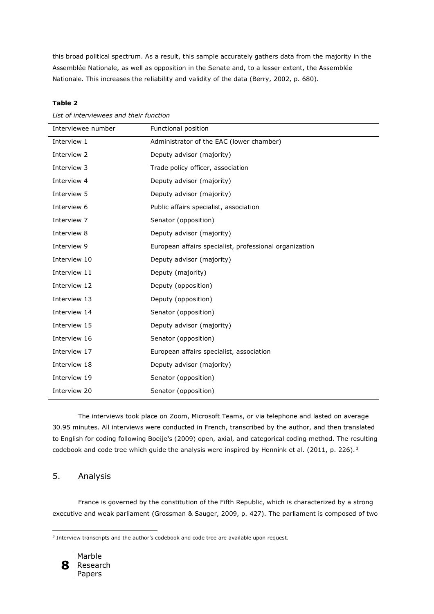this broad political spectrum. As a result, this sample accurately gathers data from the majority in the Assemblée Nationale, as well as opposition in the Senate and, to a lesser extent, the Assemblée Nationale. This increases the reliability and validity of the data (Berry, 2002, p. 680).

## **Table 2**

*List of interviewees and their function*

| Interviewee number | Functional position                                    |
|--------------------|--------------------------------------------------------|
| Interview 1        | Administrator of the EAC (lower chamber)               |
| Interview 2        | Deputy advisor (majority)                              |
| Interview 3        | Trade policy officer, association                      |
| Interview 4        | Deputy advisor (majority)                              |
| Interview 5        | Deputy advisor (majority)                              |
| Interview 6        | Public affairs specialist, association                 |
| Interview 7        | Senator (opposition)                                   |
| Interview 8        | Deputy advisor (majority)                              |
| Interview 9        | European affairs specialist, professional organization |
| Interview 10       | Deputy advisor (majority)                              |
| Interview 11       | Deputy (majority)                                      |
| Interview 12       | Deputy (opposition)                                    |
| Interview 13       | Deputy (opposition)                                    |
| Interview 14       | Senator (opposition)                                   |
| Interview 15       | Deputy advisor (majority)                              |
| Interview 16       | Senator (opposition)                                   |
| Interview 17       | European affairs specialist, association               |
| Interview 18       | Deputy advisor (majority)                              |
| Interview 19       | Senator (opposition)                                   |
| Interview 20       | Senator (opposition)                                   |

The interviews took place on Zoom, Microsoft Teams, or via telephone and lasted on average 30.95 minutes. All interviews were conducted in French, transcribed by the author, and then translated to English for coding following Boeije's (2009) open, axial, and categorical coding method. The resulting codebook and code tree which guide the analysis were inspired by Hennink et al. (2011, p. 226).<sup>3</sup>

# 5. Analysis

France is governed by the constitution of the Fifth Republic, which is characterized by a strong executive and weak parliament (Grossman & Sauger, 2009, p. 427). The parliament is composed of two

<sup>&</sup>lt;sup>3</sup> Interview transcripts and the author's codebook and code tree are available upon request.



<u>.</u>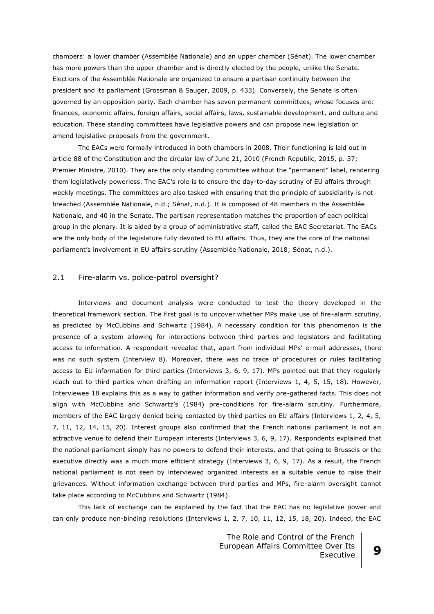chambers: a lower chamber (Assemblée Nationale) and an upper chamber (Sénat). The lower chamber has more powers than the upper chamber and is directly elected by the people, unlike the Senate. Elections of the Assemblée Nationale are organized to ensure a partisan continuity between the president and its parliament (Grossman & Sauger, 2009, p. 433). Conversely, the Senate is often governed by an opposition party. Each chamber has seven permanent committees, whose focuses are: finances, economic affairs, foreign affairs, social affairs, laws, sustainable development, and culture and education. These standing committees have legislative powers and can propose new legislation or amend legislative proposals from the government.

The EACs were formally introduced in both chambers in 2008. Their functioning is laid out in article 88 of the Constitution and the circular law of June 21, 2010 (French Republic, 2015, p. 37; Premier Ministre, 2010). They are the only standing committee without the "permanent" label, rendering them legislatively powerless. The EAC's role is to ensure the day-to-day scrutiny of EU affairs through weekly meetings. The committees are also tasked with ensuring that the principle of subsidiarity is not breached (Assemblée Nationale, n.d.; Sénat, n.d.). It is composed of 48 members in the Assemblée Nationale, and 40 in the Senate. The partisan representation matches the proportion of each political group in the plenary. It is aided by a group of administrative staff, called the EAC Secretariat. The EACs are the only body of the legislature fully devoted to EU affairs. Thus, they are the core of the national parliament's involvement in EU affairs scrutiny (Assemblée Nationale, 2018; Sénat, n.d.).

## 2.1 Fire-alarm vs. police-patrol oversight?

Interviews and document analysis were conducted to test the theory developed in the theoretical framework section. The first goal is to uncover whether MPs make use of fire-alarm scrutiny, as predicted by McCubbins and Schwartz (1984). A necessary condition for this phenomenon is the presence of a system allowing for interactions between third parties and legislators and facilitating access to information. A respondent revealed that, apart from individual MPs' e-mail addresses, there was no such system (Interview 8). Moreover, there was no trace of procedures or rules facilitating access to EU information for third parties (Interviews 3, 6, 9, 17). MPs pointed out that they regularly reach out to third parties when drafting an information report (Interviews 1, 4, 5, 15, 18). However, Interviewee 18 explains this as a way to gather information and verify pre-gathered facts. This does not align with McCubbins and Schwartz's (1984) pre-conditions for fire-alarm scrutiny. Furthermore, members of the EAC largely denied being contacted by third parties on EU affairs (Interviews 1, 2, 4, 5, 7, 11, 12, 14, 15, 20). Interest groups also confirmed that the French national parliament is not an attractive venue to defend their European interests (Interviews 3, 6, 9, 17). Respondents explained that the national parliament simply has no powers to defend their interests, and that going to Brussels or the executive directly was a much more efficient strategy (Interviews 3, 6, 9, 17). As a result, the French national parliament is not seen by interviewed organized interests as a suitable venue to raise their grievances. Without information exchange between third parties and MPs, fire-alarm oversight cannot take place according to McCubbins and Schwartz (1984).

This lack of exchange can be explained by the fact that the EAC has no legislative power and can only produce non-binding resolutions (Interviews 1, 2, 7, 10, 11, 12, 15, 18, 20). Indeed, the EAC

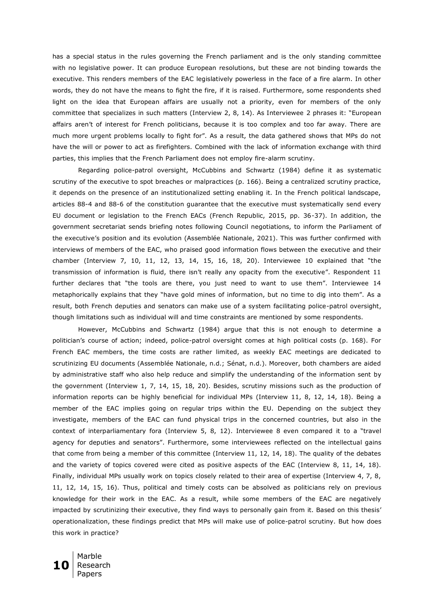has a special status in the rules governing the French parliament and is the only standing committee with no legislative power. It can produce European resolutions, but these are not binding towards the executive. This renders members of the EAC legislatively powerless in the face of a fire alarm. In other words, they do not have the means to fight the fire, if it is raised. Furthermore, some respondents shed light on the idea that European affairs are usually not a priority, even for members of the only committee that specializes in such matters (Interview 2, 8, 14). As Interviewee 2 phrases it: "European affairs aren't of interest for French politicians, because it is too complex and too far away. There are much more urgent problems locally to fight for". As a result, the data gathered shows that MPs do not have the will or power to act as firefighters. Combined with the lack of information exchange with third parties, this implies that the French Parliament does not employ fire-alarm scrutiny.

Regarding police-patrol oversight, McCubbins and Schwartz (1984) define it as systematic scrutiny of the executive to spot breaches or malpractices (p. 166). Being a centralized scrutiny practice, it depends on the presence of an institutionalized setting enabling it. In the French political landscape, articles 88-4 and 88-6 of the constitution guarantee that the executive must systematically send every EU document or legislation to the French EACs (French Republic, 2015, pp. 36-37). In addition, the government secretariat sends briefing notes following Council negotiations, to inform the Parliament of the executive's position and its evolution (Assemblée Nationale, 2021). This was further confirmed with interviews of members of the EAC, who praised good information flows between the executive and their chamber (Interview 7, 10, 11, 12, 13, 14, 15, 16, 18, 20). Interviewee 10 explained that "the transmission of information is fluid, there isn't really any opacity from the executive". Respondent 11 further declares that "the tools are there, you just need to want to use them". Interviewee 14 metaphorically explains that they "have gold mines of information, but no time to dig into them". As a result, both French deputies and senators can make use of a system facilitating police-patrol oversight, though limitations such as individual will and time constraints are mentioned by some respondents.

However, McCubbins and Schwartz (1984) argue that this is not enough to determine a politician's course of action; indeed, police-patrol oversight comes at high political costs (p. 168). For French EAC members, the time costs are rather limited, as weekly EAC meetings are dedicated to scrutinizing EU documents (Assemblée Nationale, n.d.; Sénat, n.d.). Moreover, both chambers are aided by administrative staff who also help reduce and simplify the understanding of the information sent by the government (Interview 1, 7, 14, 15, 18, 20). Besides, scrutiny missions such as the production of information reports can be highly beneficial for individual MPs (Interview 11, 8, 12, 14, 18). Being a member of the EAC implies going on regular trips within the EU. Depending on the subject they investigate, members of the EAC can fund physical trips in the concerned countries, but also in the context of interparliamentary fora (Interview 5, 8, 12). Interviewee 8 even compared it to a "travel agency for deputies and senators". Furthermore, some interviewees reflected on the intellectual gains that come from being a member of this committee (Interview 11, 12, 14, 18). The quality of the debates and the variety of topics covered were cited as positive aspects of the EAC (Interview 8, 11, 14, 18). Finally, individual MPs usually work on topics closely related to their area of expertise (Interview 4, 7, 8, 11, 12, 14, 15, 16). Thus, political and timely costs can be absolved as politicians rely on previous knowledge for their work in the EAC. As a result, while some members of the EAC are negatively impacted by scrutinizing their executive, they find ways to personally gain from it. Based on this thesis' operationalization, these findings predict that MPs will make use of police-patrol scrutiny. But how does this work in practice?

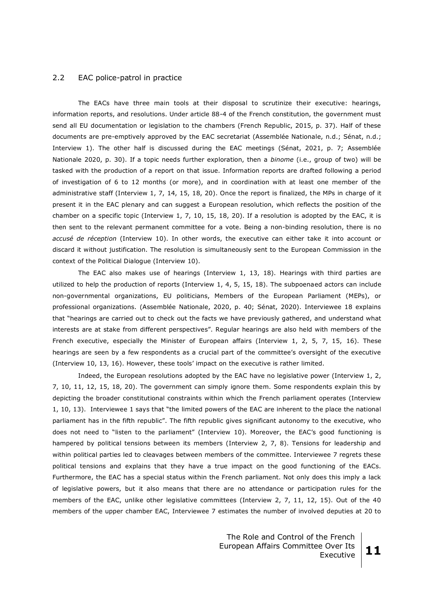#### 2.2 EAC police-patrol in practice

The EACs have three main tools at their disposal to scrutinize their executive: hearings, information reports, and resolutions. Under article 88-4 of the French constitution, the government must send all EU documentation or legislation to the chambers (French Republic, 2015, p. 37). Half of these documents are pre-emptively approved by the EAC secretariat (Assemblée Nationale, n.d.; Sénat, n.d.; Interview 1). The other half is discussed during the EAC meetings (Sénat, 2021, p. 7; Assemblée Nationale 2020, p. 30). If a topic needs further exploration, then a *binome* (i.e., group of two) will be tasked with the production of a report on that issue. Information reports are drafted following a period of investigation of 6 to 12 months (or more), and in coordination with at least one member of the administrative staff (Interview 1, 7, 14, 15, 18, 20). Once the report is finalized, the MPs in charge of it present it in the EAC plenary and can suggest a European resolution, which reflects the position of the chamber on a specific topic (Interview 1, 7, 10, 15, 18, 20). If a resolution is adopted by the EAC, it is then sent to the relevant permanent committee for a vote. Being a non-binding resolution, there is no *accusé de réception* (Interview 10). In other words, the executive can either take it into account or discard it without justification. The resolution is simultaneously sent to the European Commission in the context of the Political Dialogue (Interview 10).

The EAC also makes use of hearings (Interview 1, 13, 18). Hearings with third parties are utilized to help the production of reports (Interview 1, 4, 5, 15, 18). The subpoenaed actors can include non-governmental organizations, EU politicians, Members of the European Parliament (MEPs), or professional organizations. (Assemblée Nationale, 2020, p. 40; Sénat, 2020). Interviewee 18 explains that "hearings are carried out to check out the facts we have previously gathered, and understand what interests are at stake from different perspectives". Regular hearings are also held with members of the French executive, especially the Minister of European affairs (Interview 1, 2, 5, 7, 15, 16). These hearings are seen by a few respondents as a crucial part of the committee's oversight of the executive (Interview 10, 13, 16). However, these tools' impact on the executive is rather limited.

Indeed, the European resolutions adopted by the EAC have no legislative power (Interview 1, 2, 7, 10, 11, 12, 15, 18, 20). The government can simply ignore them. Some respondents explain this by depicting the broader constitutional constraints within which the French parliament operates (Interview 1, 10, 13). Interviewee 1 says that "the limited powers of the EAC are inherent to the place the national parliament has in the fifth republic". The fifth republic gives significant autonomy to the executive, who does not need to "listen to the parliament" (Interview 10). Moreover, the EAC's good functioning is hampered by political tensions between its members (Interview 2, 7, 8). Tensions for leadership and within political parties led to cleavages between members of the committee. Interviewee 7 regrets these political tensions and explains that they have a true impact on the good functioning of the EACs. Furthermore, the EAC has a special status within the French parliament. Not only does this imply a lack of legislative powers, but it also means that there are no attendance or participation rules for the members of the EAC, unlike other legislative committees (Interview 2, 7, 11, 12, 15). Out of the 40 members of the upper chamber EAC, Interviewee 7 estimates the number of involved deputies at 20 to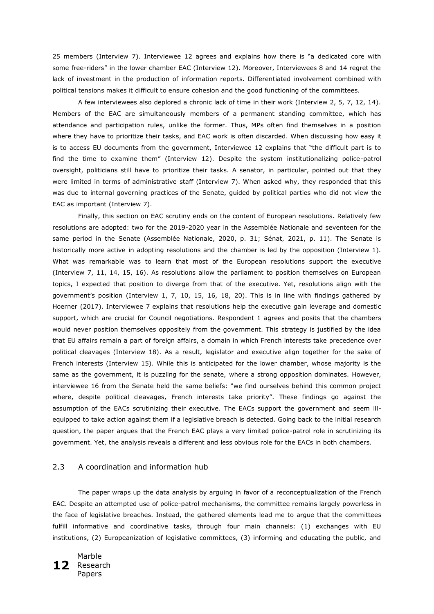25 members (Interview 7). Interviewee 12 agrees and explains how there is "a dedicated core with some free-riders" in the lower chamber EAC (Interview 12). Moreover, Interviewees 8 and 14 regret the lack of investment in the production of information reports. Differentiated involvement combined with political tensions makes it difficult to ensure cohesion and the good functioning of the committees.

A few interviewees also deplored a chronic lack of time in their work (Interview 2, 5, 7, 12, 14). Members of the EAC are simultaneously members of a permanent standing committee, which has attendance and participation rules, unlike the former. Thus, MPs often find themselves in a position where they have to prioritize their tasks, and EAC work is often discarded. When discussing how easy it is to access EU documents from the government, Interviewee 12 explains that "the difficult part is to find the time to examine them" (Interview 12). Despite the system institutionalizing police-patrol oversight, politicians still have to prioritize their tasks. A senator, in particular, pointed out that they were limited in terms of administrative staff (Interview 7). When asked why, they responded that this was due to internal governing practices of the Senate, guided by political parties who did not view the EAC as important (Interview 7).

Finally, this section on EAC scrutiny ends on the content of European resolutions. Relatively few resolutions are adopted: two for the 2019-2020 year in the Assemblée Nationale and seventeen for the same period in the Senate (Assemblée Nationale, 2020, p. 31; Sénat, 2021, p. 11). The Senate is historically more active in adopting resolutions and the chamber is led by the opposition (Interview 1). What was remarkable was to learn that most of the European resolutions support the executive (Interview 7, 11, 14, 15, 16). As resolutions allow the parliament to position themselves on European topics, I expected that position to diverge from that of the executive. Yet, resolutions align with the government's position (Interview 1, 7, 10, 15, 16, 18, 20). This is in line with findings gathered by Hoerner (2017). Interviewee 7 explains that resolutions help the executive gain leverage and domestic support, which are crucial for Council negotiations. Respondent 1 agrees and posits that the chambers would never position themselves oppositely from the government. This strategy is justified by the idea that EU affairs remain a part of foreign affairs, a domain in which French interests take precedence over political cleavages (Interview 18). As a result, legislator and executive align together for the sake of French interests (Interview 15). While this is anticipated for the lower chamber, whose majority is the same as the government, it is puzzling for the senate, where a strong opposition dominates. However, interviewee 16 from the Senate held the same beliefs: "we find ourselves behind this common project where, despite political cleavages, French interests take priority". These findings go against the assumption of the EACs scrutinizing their executive. The EACs support the government and seem illequipped to take action against them if a legislative breach is detected. Going back to the initial research question, the paper argues that the French EAC plays a very limited police-patrol role in scrutinizing its government. Yet, the analysis reveals a different and less obvious role for the EACs in both chambers.

## 2.3 A coordination and information hub

The paper wraps up the data analysis by arguing in favor of a reconceptualization of the French EAC. Despite an attempted use of police-patrol mechanisms, the committee remains largely powerless in the face of legislative breaches. Instead, the gathered elements lead me to argue that the committees fulfill informative and coordinative tasks, through four main channels: (1) exchanges with EU institutions, (2) Europeanization of legislative committees, (3) informing and educating the public, and

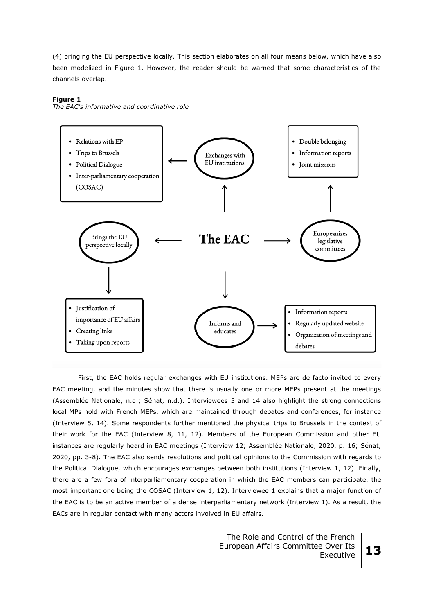(4) bringing the EU perspective locally. This section elaborates on all four means below, which have also been modelized in Figure 1. However, the reader should be warned that some characteristics of the channels overlap.

#### **Figure 1**

*The EAC's informative and coordinative role*



First, the EAC holds regular exchanges with EU institutions. MEPs are de facto invited to every EAC meeting, and the minutes show that there is usually one or more MEPs present at the meetings (Assemblée Nationale, n.d.; Sénat, n.d.). Interviewees 5 and 14 also highlight the strong connections local MPs hold with French MEPs, which are maintained through debates and conferences, for instance (Interview 5, 14). Some respondents further mentioned the physical trips to Brussels in the context of their work for the EAC (Interview 8, 11, 12). Members of the European Commission and other EU instances are regularly heard in EAC meetings (Interview 12; Assemblée Nationale, 2020, p. 16; Sénat, 2020, pp. 3-8). The EAC also sends resolutions and political opinions to the Commission with regards to the Political Dialogue, which encourages exchanges between both institutions (Interview 1, 12). Finally, there are a few fora of interparliamentary cooperation in which the EAC members can participate, the most important one being the COSAC (Interview 1, 12). Interviewee 1 explains that a major function of the EAC is to be an active member of a dense interparliamentary network (Interview 1). As a result, the EACs are in regular contact with many actors involved in EU affairs.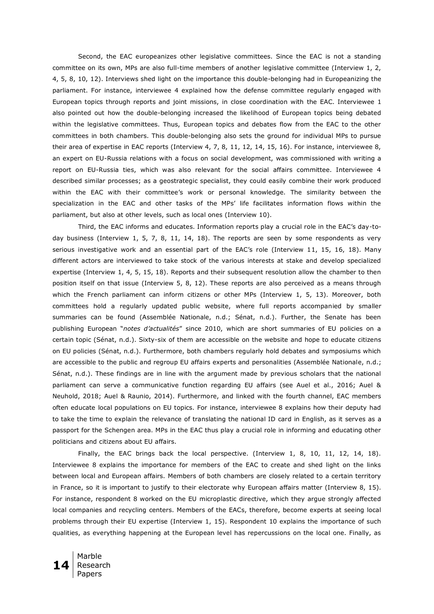Second, the EAC europeanizes other legislative committees. Since the EAC is not a standing committee on its own, MPs are also full-time members of another legislative committee (Interview 1, 2, 4, 5, 8, 10, 12). Interviews shed light on the importance this double-belonging had in Europeanizing the parliament. For instance, interviewee 4 explained how the defense committee regularly engaged with European topics through reports and joint missions, in close coordination with the EAC. Interviewee 1 also pointed out how the double-belonging increased the likelihood of European topics being debated within the legislative committees. Thus, European topics and debates flow from the EAC to the other committees in both chambers. This double-belonging also sets the ground for individual MPs to pursue their area of expertise in EAC reports (Interview 4, 7, 8, 11, 12, 14, 15, 16). For instance, interviewee 8, an expert on EU-Russia relations with a focus on social development, was commissioned with writing a report on EU-Russia ties, which was also relevant for the social affairs committee. Interviewee 4 described similar processes; as a geostrategic specialist, they could easily combine their work produced within the EAC with their committee's work or personal knowledge. The similarity between the specialization in the EAC and other tasks of the MPs' life facilitates information flows within the parliament, but also at other levels, such as local ones (Interview 10).

Third, the EAC informs and educates. Information reports play a crucial role in the EAC's day-today business (Interview 1, 5, 7, 8, 11, 14, 18). The reports are seen by some respondents as very serious investigative work and an essential part of the EAC's role (Interview 11, 15, 16, 18). Many different actors are interviewed to take stock of the various interests at stake and develop specialized expertise (Interview 1, 4, 5, 15, 18). Reports and their subsequent resolution allow the chamber to then position itself on that issue (Interview 5, 8, 12). These reports are also perceived as a means through which the French parliament can inform citizens or other MPs (Interview 1, 5, 13). Moreover, both committees hold a regularly updated public website, where full reports accompanied by smaller summaries can be found (Assemblée Nationale, n.d.; Sénat, n.d.). Further, the Senate has been publishing European "*notes d'actualités*" since 2010, which are short summaries of EU policies on a certain topic (Sénat, n.d.). Sixty-six of them are accessible on the website and hope to educate citizens on EU policies (Sénat, n.d.). Furthermore, both chambers regularly hold debates and symposiums which are accessible to the public and regroup EU affairs experts and personalities (Assemblée Nationale, n.d.; Sénat, n.d.). These findings are in line with the argument made by previous scholars that the national parliament can serve a communicative function regarding EU affairs (see Auel et al., 2016; Auel & Neuhold, 2018; Auel & Raunio, 2014). Furthermore, and linked with the fourth channel, EAC members often educate local populations on EU topics. For instance, interviewee 8 explains how their deputy had to take the time to explain the relevance of translating the national ID card in English, as it serves as a passport for the Schengen area. MPs in the EAC thus play a crucial role in informing and educating other politicians and citizens about EU affairs.

Finally, the EAC brings back the local perspective. (Interview 1, 8, 10, 11, 12, 14, 18). Interviewee 8 explains the importance for members of the EAC to create and shed light on the links between local and European affairs. Members of both chambers are closely related to a certain territory in France, so it is important to justify to their electorate why European affairs matter (Interview 8, 15). For instance, respondent 8 worked on the EU microplastic directive, which they argue strongly affected local companies and recycling centers. Members of the EACs, therefore, become experts at seeing local problems through their EU expertise (Interview 1, 15). Respondent 10 explains the importance of such qualities, as everything happening at the European level has repercussions on the local one. Finally, as

**14** Research Marble Papers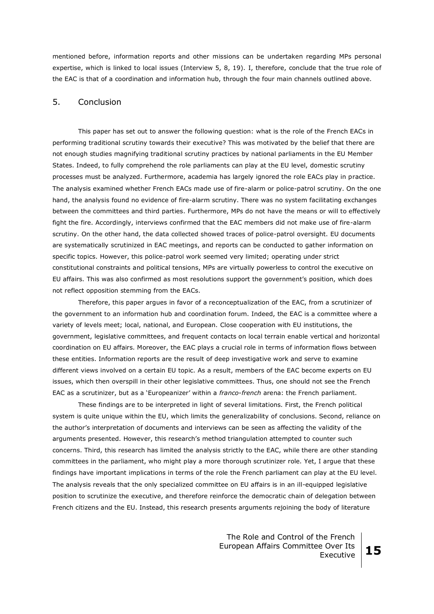mentioned before, information reports and other missions can be undertaken regarding MPs personal expertise, which is linked to local issues (Interview 5, 8, 19). I, therefore, conclude that the true role of the EAC is that of a coordination and information hub, through the four main channels outlined above.

# 5. Conclusion

This paper has set out to answer the following question: what is the role of the French EACs in performing traditional scrutiny towards their executive? This was motivated by the belief that there are not enough studies magnifying traditional scrutiny practices by national parliaments in the EU Member States. Indeed, to fully comprehend the role parliaments can play at the EU level, domestic scrutiny processes must be analyzed. Furthermore, academia has largely ignored the role EACs play in practice. The analysis examined whether French EACs made use of fire-alarm or police-patrol scrutiny. On the one hand, the analysis found no evidence of fire-alarm scrutiny. There was no system facilitating exchanges between the committees and third parties. Furthermore, MPs do not have the means or will to effectively fight the fire. Accordingly, interviews confirmed that the EAC members did not make use of fire-alarm scrutiny. On the other hand, the data collected showed traces of police-patrol oversight. EU documents are systematically scrutinized in EAC meetings, and reports can be conducted to gather information on specific topics. However, this police-patrol work seemed very limited; operating under strict constitutional constraints and political tensions, MPs are virtually powerless to control the executive on EU affairs. This was also confirmed as most resolutions support the government's position, which does not reflect opposition stemming from the EACs.

Therefore, this paper argues in favor of a reconceptualization of the EAC, from a scrutinizer of the government to an information hub and coordination forum. Indeed, the EAC is a committee where a variety of levels meet; local, national, and European. Close cooperation with EU institutions, the government, legislative committees, and frequent contacts on local terrain enable vertical and horizontal coordination on EU affairs. Moreover, the EAC plays a crucial role in terms of information flows between these entities. Information reports are the result of deep investigative work and serve to examine different views involved on a certain EU topic. As a result, members of the EAC become experts on EU issues, which then overspill in their other legislative committees. Thus, one should not see the French EAC as a scrutinizer, but as a 'Europeanizer' within a *franco-french* arena: the French parliament.

These findings are to be interpreted in light of several limitations. First, the French political system is quite unique within the EU, which limits the generalizability of conclusions. Second, reliance on the author's interpretation of documents and interviews can be seen as affecting the validity of the arguments presented. However, this research's method triangulation attempted to counter such concerns. Third, this research has limited the analysis strictly to the EAC, while there are other standing committees in the parliament, who might play a more thorough scrutinizer role. Yet, I argue that these findings have important implications in terms of the role the French parliament can play at the EU level. The analysis reveals that the only specialized committee on EU affairs is in an ill-equipped legislative position to scrutinize the executive, and therefore reinforce the democratic chain of delegation between French citizens and the EU. Instead, this research presents arguments rejoining the body of literature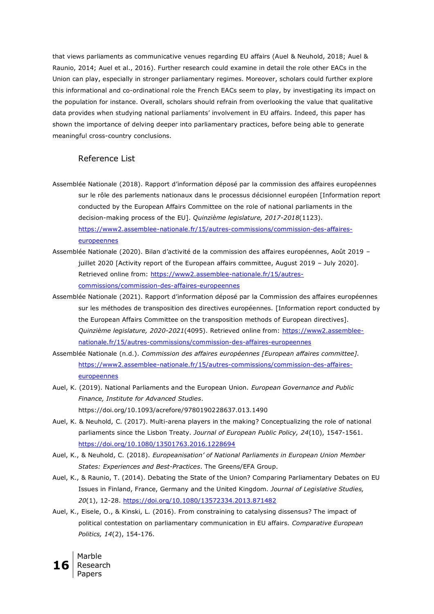that views parliaments as communicative venues regarding EU affairs (Auel & Neuhold, 2018; Auel & Raunio, 2014; Auel et al., 2016). Further research could examine in detail the role other EACs in the Union can play, especially in stronger parliamentary regimes. Moreover, scholars could further explore this informational and co-ordinational role the French EACs seem to play, by investigating its impact on the population for instance. Overall, scholars should refrain from overlooking the value that qualitative data provides when studying national parliaments' involvement in EU affairs. Indeed, this paper has shown the importance of delving deeper into parliamentary practices, before being able to generate meaningful cross-country conclusions.

# Reference List

- Assemblée Nationale (2018). Rapport d'information déposé par la commission des affaires européennes sur le rôle des parlements nationaux dans le processus décisionnel européen [Information report conducted by the European Affairs Committee on the role of national parliaments in the decision-making process of the EU]. *Quinzième legislature, 2017-2018*(1123). [https://www2.assemblee-nationale.fr/15/autres-commissions/commission-des-affaires](https://www2.assemblee-nationale.fr/15/autres-commissions/commission-des-affaires-europeennes)[europeennes](https://www2.assemblee-nationale.fr/15/autres-commissions/commission-des-affaires-europeennes)
- Assemblée Nationale (2020). Bilan d'activité de la commission des affaires européennes, Août 2019 juillet 2020 [Activity report of the European affairs committee, August 2019 – July 2020]. Retrieved online from: [https://www2.assemblee-nationale.fr/15/autres](https://www2.assemblee-nationale.fr/15/autres-commissions/commission-des-affaires-europeennes)[commissions/commission-des-affaires-europeennes](https://www2.assemblee-nationale.fr/15/autres-commissions/commission-des-affaires-europeennes)
- Assemblée Nationale (2021). Rapport d'information déposé par la Commission des affaires européennes sur les méthodes de transposition des directives européennes. [Information report conducted by the European Affairs Committee on the transposition methods of European directives]. *Quinzième legislature, 2020-2021*(4095). Retrieved online from: [https://www2.assemblee](https://www2.assemblee-nationale.fr/15/autres-commissions/commission-des-affaires-europeennes)[nationale.fr/15/autres-commissions/commission-des-affaires-europeennes](https://www2.assemblee-nationale.fr/15/autres-commissions/commission-des-affaires-europeennes)
- Assemblée Nationale (n.d.). *Commission des affaires européennes [European affaires committee].*  [https://www2.assemblee-nationale.fr/15/autres-commissions/commission-des-affaires](https://www2.assemblee-nationale.fr/15/autres-commissions/commission-des-affaires-europeennes)[europeennes](https://www2.assemblee-nationale.fr/15/autres-commissions/commission-des-affaires-europeennes)
- Auel, K. (2019). National Parliaments and the European Union. *European Governance and Public Finance, Institute for Advanced Studies*. https://doi.org/10.1093/acrefore/9780190228637.013.1490
- Auel, K. & Neuhold, C. (2017). Multi-arena players in the making? Conceptualizing the role of national parliaments since the Lisbon Treaty. *Journal of European Public Policy, 24*(10), 1547-1561. <https://doi.org/10.1080/13501763.2016.1228694>
- Auel, K., & Neuhold, C. (2018). *Europeanisation' of National Parliaments in European Union Member States: Experiences and Best-Practices*. The Greens/EFA Group.
- Auel, K., & Raunio, T. (2014). Debating the State of the Union? Comparing Parliamentary Debates on EU Issues in Finland, France, Germany and the United Kingdom. *Journal of Legislative Studies, 20*(1), 12-28.<https://doi.org/10.1080/13572334.2013.871482>
- Auel, K., Eisele, O., & Kinski, L. (2016). From constraining to catalysing dissensus? The impact of political contestation on parliamentary communication in EU affairs. *Comparative European Politics, 14*(2), 154-176.

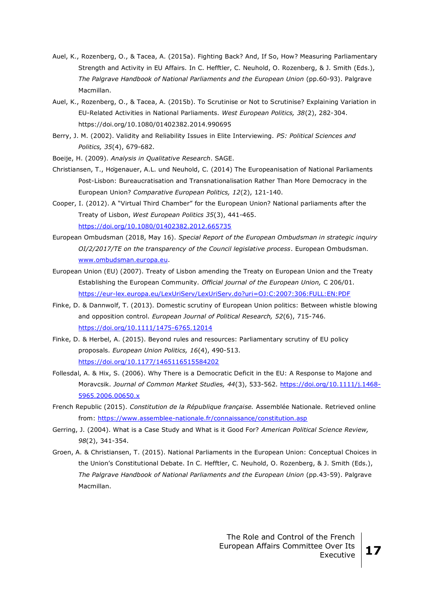- Auel, K., Rozenberg, O., & Tacea, A. (2015a). Fighting Back? And, If So, How? Measuring Parliamentary Strength and Activity in EU Affairs. In C. Hefftler, C. Neuhold, O. Rozenberg, & J. Smith (Eds.), *The Palgrave Handbook of National Parliaments and the European Union* (pp.60-93). Palgrave Macmillan.
- Auel, K., Rozenberg, O., & Tacea, A. (2015b). To Scrutinise or Not to Scrutinise? Explaining Variation in EU-Related Activities in National Parliaments. *West European Politics, 38*(2), 282-304. https://doi.org/10.1080/01402382.2014.990695
- Berry, J. M. (2002). Validity and Reliability Issues in Elite Interviewing. *PS: Political Sciences and Politics, 35*(4), 679-682.

Boeije, H. (2009). *Analysis in Qualitative Research*. SAGE.

- Christiansen, T., Högenauer, A.L. und Neuhold, C. (2014) The Europeanisation of National Parliaments Post-Lisbon: Bureaucratisation and Transnationalisation Rather Than More Democracy in the European Union? *Comparative European Politics, 12*(2), 121-140.
- Cooper, I. (2012). A "Virtual Third Chamber" for the European Union? National parliaments after the Treaty of Lisbon, *West European Politics 35*(3), 441-465. <https://doi.org/10.1080/01402382.2012.665735>
- European Ombudsman (2018, May 16). *Special Report of the European Ombudsman in strategic inquiry OI/2/2017/TE on the transparency of the Council legislative process*. European Ombudsman. [www.ombudsman.europa.eu.](http://www.ombudsman.europa.eu/)
- European Union (EU) (2007). Treaty of Lisbon amending the Treaty on European Union and the Treaty Establishing the European Community. *Official journal of the European Union,* C 206/01. <https://eur-lex.europa.eu/LexUriServ/LexUriServ.do?uri=OJ:C:2007:306:FULL:EN:PDF>
- Finke, D. & Dannwolf, T. (2013). Domestic scrutiny of European Union politics: Between whistle blowing and opposition control. *European Journal of Political Research, 52*(6), 715-746. <https://doi.org/10.1111/1475-6765.12014>
- Finke, D. & Herbel, A. (2015). Beyond rules and resources: Parliamentary scrutiny of EU policy proposals. *European Union Politics, 16*(4), 490-513. [https://doi.org/10.1177/1465116515584202](https://doi.org/10.1177%2F1465116515584202)
- Follesdal, A. & Hix, S. (2006). Why There is a Democratic Deficit in the EU: A Response to Majone and Moravcsik. *Journal of Common Market Studies, 44*(3), 533-562. [https://doi.org/10.1111/j.1468-](https://doi.org/10.1111/j.1468-5965.2006.00650.x) [5965.2006.00650.x](https://doi.org/10.1111/j.1468-5965.2006.00650.x)
- French Republic (2015). *Constitution de la République française.* Assemblée Nationale. Retrieved online from:<https://www.assemblee-nationale.fr/connaissance/constitution.asp>
- Gerring, J. (2004). What is a Case Study and What is it Good For? *American Political Science Review, 98*(2), 341-354.
- Groen, A. & Christiansen, T. (2015). National Parliaments in the European Union: Conceptual Choices in the Union's Constitutional Debate. In C. Hefftler, C. Neuhold, O. Rozenberg, & J. Smith (Eds.), *The Palgrave Handbook of National Parliaments and the European Union* (pp.43-59). Palgrave Macmillan.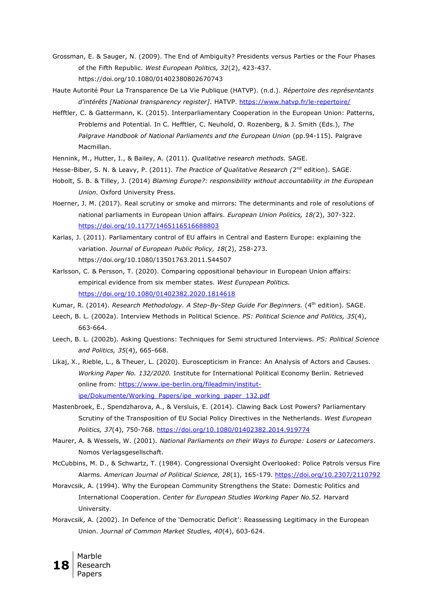- Grossman, E. & Sauger, N. (2009). The End of Ambiguity? Presidents versus Parties or the Four Phases of the Fifth Republic. *West European Politics, 32*(2), 423-437. https://doi.org/10.1080/01402380802670743
- Haute Autorité Pour La Transparence De La Vie Publique (HATVP). (n.d.). *Répertoire des représentants d'intérêts [National transparency register]*. HATVP.<https://www.hatvp.fr/le-repertoire/>
- Hefftler, C. & Gattermann, K. (2015). Interparliamentary Cooperation in the European Union: Patterns, Problems and Potential. In C. Hefftler, C. Neuhold, O. Rozenberg, & J. Smith (Eds.), *The Palgrave Handbook of National Parliaments and the European Union* (pp.94-115). Palgrave Macmillan.
- Hennink, M., Hutter, I., & Bailey, A. (2011). *Qualitative research methods.* SAGE.
- Hesse-Biber, S. N. & Leavy, P. (2011). *The Practice of Qualitative Research (2*<sup>nd</sup> edition). SAGE.
- Hobolt, S. B. & Tilley, J. (2014) *Blaming Europe?: responsibility without accountability in the European Union.* Oxford University Press.
- Hoerner, J. M. (2017). Real scrutiny or smoke and mirrors: The determinants and role of resolutions of national parliaments in European Union affairs. *European Union Politics, 18(*2), 307-322. [https://doi.org/10.1177/1465116516688803](https://doi.org/10.1177%2F1465116516688803)
- Karlas, J. (2011). Parliamentary control of EU affairs in Central and Eastern Europe: explaining the variation. *Journal of European Public Policy, 18*(2), 258-273. https://doi.org/10.1080/13501763.2011.544507
- Karlsson, C. & Persson, T. (2020). Comparing oppositional behaviour in European Union affairs: empirical evidence from six member states. *West European Politics.*  <https://doi.org/10.1080/01402382.2020.1814618>
- Kumar, R. (2014). *Research Methodology. A Step-By-Step Guide For Beginners.* (4<sup>th</sup> edition). SAGE.
- Leech, B. L. (2002a). Interview Methods in Political Science. *PS: Political Science and Politics, 35*(4), 663-664.
- Leech, B. L. (2002b). Asking Questions: Techniques for Semi structured Interviews. *PS: Political Science and Politics, 35*(4), 665-668.
- Likaj, X., Rieble, L., & Theuer, L. (2020). Euroscepticism in France: An Analysis of Actors and Causes. *Working Paper No. 132/2020.* Institute for International Political Economy Berlin*.* Retrieved online from: [https://www.ipe-berlin.org/fileadmin/institut](https://www.ipe-berlin.org/fileadmin/institut-ipe/Dokumente/Working_Papers/ipe_working_paper_132.pdf)[ipe/Dokumente/Working\\_Papers/ipe\\_working\\_paper\\_132.pdf](https://www.ipe-berlin.org/fileadmin/institut-ipe/Dokumente/Working_Papers/ipe_working_paper_132.pdf)
- Mastenbroek, E., Spendzharova, A., & Versluis, E. (2014). Clawing Back Lost Powers? Parliamentary Scrutiny of the Transposition of EU Social Policy Directives in the Netherlands. *West European Politics, 37*(4), 750-768.<https://doi.org/10.1080/01402382.2014.919774>
- Maurer, A. & Wessels, W. (2001). *National Parliaments on their Ways to Europe: Losers or Latecomers*. Nomos Verlagsgesellschaft.
- McCubbins, M. D., & Schwartz, T. (1984). Congressional Oversight Overlooked: Police Patrols versus Fire Alarms. *American Journal of Political Science, 28*(1), 165-179.<https://doi.org/10.2307/2110792>
- Moravcsik, A. (1994). Why the European Community Strengthens the State: Domestic Politics and International Cooperation. *Center for European Studies Working Paper No.52.* Harvard University.
- Moravcsik, A. (2002). In Defence of the 'Democratic Deficit': Reassessing Legitimacy in the European Union. *Journal of Common Market Studies, 40*(4), 603-624.

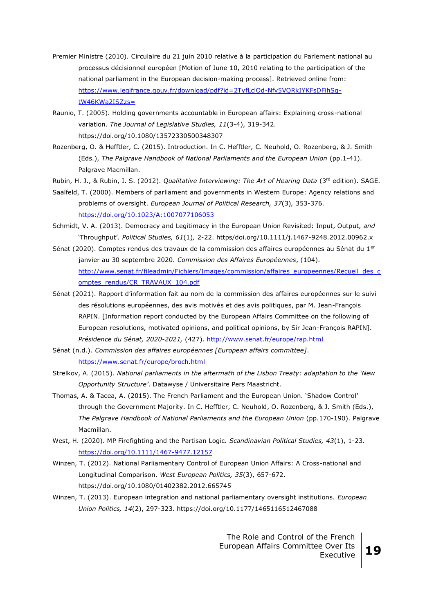- Premier Ministre (2010). Circulaire du 21 juin 2010 relative à la participation du Parlement national au processus décisionnel européen [Motion of June 10, 2010 relating to the participation of the national parliament in the European decision-making process]. Retrieved online from: [https://www.legifrance.gouv.fr/download/pdf?id=2TyfLclOd-Nfv5VQRkIYKFsDFihSq](https://www.legifrance.gouv.fr/download/pdf?id=2TyfLclOd-Nfv5VQRkIYKFsDFihSq-tW46KWa2ISZzs=)[tW46KWa2ISZzs=](https://www.legifrance.gouv.fr/download/pdf?id=2TyfLclOd-Nfv5VQRkIYKFsDFihSq-tW46KWa2ISZzs=)
- Raunio, T. (2005). Holding governments accountable in European affairs: Explaining cross-national variation. *The Journal of Legislative Studies, 11*(3-4), 319-342. https://doi.org/10.1080/13572330500348307
- Rozenberg, O. & Hefftler, C. (2015). Introduction. In C. Hefftler, C. Neuhold, O. Rozenberg, & J. Smith (Eds.), *The Palgrave Handbook of National Parliaments and the European Union* (pp.1-41). Palgrave Macmillan.
- Rubin, H. J., & Rubin, I. S. (2012). *Qualitative Interviewing: The Art of Hearing Data* (3rd edition). SAGE.
- Saalfeld, T. (2000). Members of parliament and governments in Western Europe: Agency relations and problems of oversight. *European Journal of Political Research, 37*(3)*,* 353-376. <https://doi.org/10.1023/A:1007077106053>
- Schmidt, V. A. (2013). Democracy and Legitimacy in the European Union Revisited: Input, Output, *and* 'Throughput'. *Political Studies, 61*(1)*,* 2-22. https/doi.org/10.1111/j.1467-9248.2012.00962.x
- Sénat (2020). Comptes rendus des travaux de la commission des affaires européennes au Sénat du 1<sup>er</sup> janvier au 30 septembre 2020. *Commission des Affaires Européennes*, (104). [http://www.senat.fr/fileadmin/Fichiers/Images/commission/affaires\\_europeennes/Recueil\\_des\\_c](http://www.senat.fr/fileadmin/Fichiers/Images/commission/affaires_europeennes/Recueil_des_comptes_rendus/CR_TRAVAUX_104.pdf) [omptes\\_rendus/CR\\_TRAVAUX\\_104.pdf](http://www.senat.fr/fileadmin/Fichiers/Images/commission/affaires_europeennes/Recueil_des_comptes_rendus/CR_TRAVAUX_104.pdf)
- Sénat (2021). Rapport d'information fait au nom de la commission des affaires européennes sur le suivi des résolutions européennes, des avis motivés et des avis politiques, par M. Jean-François RAPIN. [Information report conducted by the European Affairs Committee on the following of European resolutions, motivated opinions, and political opinions, by Sir Jean-François RAPIN]. *Présidence du Sénat, 2020-2021,* (427).<http://www.senat.fr/europe/rap.html>
- Sénat (n.d.). *Commission des affaires européennes [European affairs committee]*. <https://www.senat.fr/europe/broch.html>
- Strelkov, A. (2015). *National parliaments in the aftermath of the Lisbon Treaty: adaptation to the 'New Opportunity Structure'*. Datawyse / Universitaire Pers Maastricht.
- Thomas, A. & Tacea, A. (2015). The French Parliament and the European Union. 'Shadow Control' through the Government Majority. In C. Hefftler, C. Neuhold, O. Rozenberg, & J. Smith (Eds.), *The Palgrave Handbook of National Parliaments and the European Union* (pp.170-190). Palgrave Macmillan.
- West, H. (2020). MP Firefighting and the Partisan Logic. *Scandinavian Political Studies, 43*(1), 1-23. <https://doi.org/10.1111/1467-9477.12157>
- Winzen, T. (2012). National Parliamentary Control of European Union Affairs: A Cross-national and Longitudinal Comparison. *West European Politics, 35*(3), 657-672. https://doi.org/10.1080/01402382.2012.665745
- Winzen, T. (2013). European integration and national parliamentary oversight institutions. *European Union Politics, 14*(2), 297-323. https://doi.org/10.1177/1465116512467088